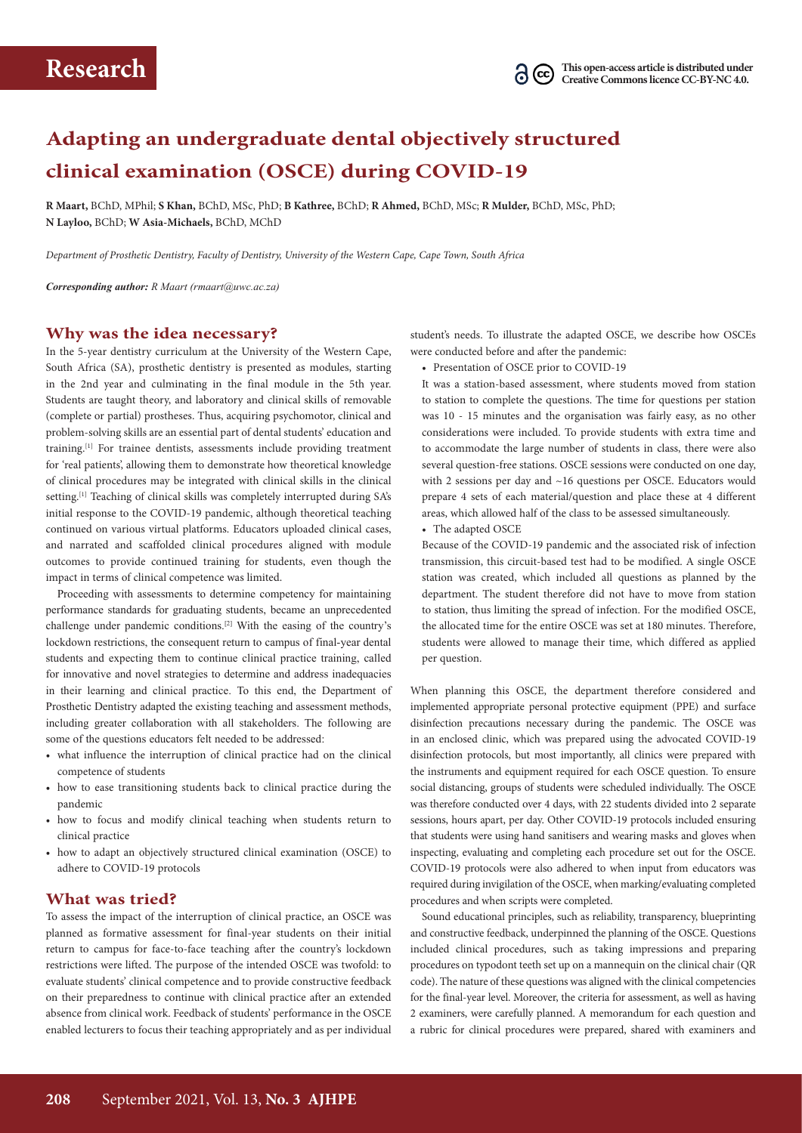# **Adapting an undergraduate dental objectively structured clinical examination (OSCE) during COVID‑19**

**R Maart,** BChD, MPhil; **S Khan,** BChD, MSc, PhD; **B Kathree,** BChD; **R Ahmed,** BChD, MSc; **R Mulder,** BChD, MSc, PhD; **N Layloo,** BChD; **W Asia-Michaels,** BChD, MChD

*Department of Prosthetic Dentistry, Faculty of Dentistry, University of the Western Cape, Cape Town, South Africa*

*Corresponding author: R Maart ([rmaart@uwc.ac.za\)](mailto:rmaart@uwc.ac.za)*

### **Why was the idea necessary?**

In the 5-year dentistry curriculum at the University of the Western Cape, South Africa (SA), prosthetic dentistry is presented as modules, starting in the 2nd year and culminating in the final module in the 5th year. Students are taught theory, and laboratory and clinical skills of removable (complete or partial) prostheses. Thus, acquiring psychomotor, clinical and problem-solving skills are an essential part of dental students' education and training.[1] For trainee dentists, assessments include providing treatment for 'real patients', allowing them to demonstrate how theoretical knowledge of clinical procedures may be integrated with clinical skills in the clinical setting.<sup>[1]</sup> Teaching of clinical skills was completely interrupted during SA's initial response to the COVID-19 pandemic, although theoretical teaching continued on various virtual platforms. Educators uploaded clinical cases, and narrated and scaffolded clinical procedures aligned with module outcomes to provide continued training for students, even though the impact in terms of clinical competence was limited.

Proceeding with assessments to determine competency for maintaining performance standards for graduating students, became an unprecedented challenge under pandemic conditions.[2] With the easing of the country's lockdown restrictions, the consequent return to campus of final-year dental students and expecting them to continue clinical practice training, called for innovative and novel strategies to determine and address inadequacies in their learning and clinical practice. To this end, the Department of Prosthetic Dentistry adapted the existing teaching and assessment methods, including greater collaboration with all stakeholders. The following are some of the questions educators felt needed to be addressed:

- what influence the interruption of clinical practice had on the clinical competence of students
- how to ease transitioning students back to clinical practice during the pandemic
- how to focus and modify clinical teaching when students return to clinical practice
- how to adapt an objectively structured clinical examination (OSCE) to adhere to COVID-19 protocols

#### **What was tried?**

To assess the impact of the interruption of clinical practice, an OSCE was planned as formative assessment for final-year students on their initial return to campus for face-to-face teaching after the country's lockdown restrictions were lifted. The purpose of the intended OSCE was twofold: to evaluate students' clinical competence and to provide constructive feedback on their preparedness to continue with clinical practice after an extended absence from clinical work. Feedback of students' performance in the OSCE enabled lecturers to focus their teaching appropriately and as per individual student's needs. To illustrate the adapted OSCE, we describe how OSCEs were conducted before and after the pandemic:

• Presentation of OSCE prior to COVID-19

It was a station-based assessment, where students moved from station to station to complete the questions. The time for questions per station was 10 - 15 minutes and the organisation was fairly easy, as no other considerations were included. To provide students with extra time and to accommodate the large number of students in class, there were also several question-free stations. OSCE sessions were conducted on one day, with 2 sessions per day and ~16 questions per OSCE. Educators would prepare 4 sets of each material/question and place these at 4 different areas, which allowed half of the class to be assessed simultaneously.

• The adapted OSCE

Because of the COVID-19 pandemic and the associated risk of infection transmission, this circuit-based test had to be modified. A single OSCE station was created, which included all questions as planned by the department. The student therefore did not have to move from station to station, thus limiting the spread of infection. For the modified OSCE, the allocated time for the entire OSCE was set at 180 minutes. Therefore, students were allowed to manage their time, which differed as applied per question.

When planning this OSCE, the department therefore considered and implemented appropriate personal protective equipment (PPE) and surface disinfection precautions necessary during the pandemic. The OSCE was in an enclosed clinic, which was prepared using the advocated COVID-19 disinfection protocols, but most importantly, all clinics were prepared with the instruments and equipment required for each OSCE question. To ensure social distancing, groups of students were scheduled individually. The OSCE was therefore conducted over 4 days, with 22 students divided into 2 separate sessions, hours apart, per day. Other COVID-19 protocols included ensuring that students were using hand sanitisers and wearing masks and gloves when inspecting, evaluating and completing each procedure set out for the OSCE. COVID-19 protocols were also adhered to when input from educators was required during invigilation of the OSCE, when marking/evaluating completed procedures and when scripts were completed.

Sound educational principles, such as reliability, transparency, blueprinting and constructive feedback, underpinned the planning of the OSCE. Questions included clinical procedures, such as taking impressions and preparing procedures on typodont teeth set up on a mannequin on the clinical chair (QR code). The nature of these questions was aligned with the clinical competencies for the final-year level. Moreover, the criteria for assessment, as well as having 2 examiners, were carefully planned. A memorandum for each question and a rubric for clinical procedures were prepared, shared with examiners and